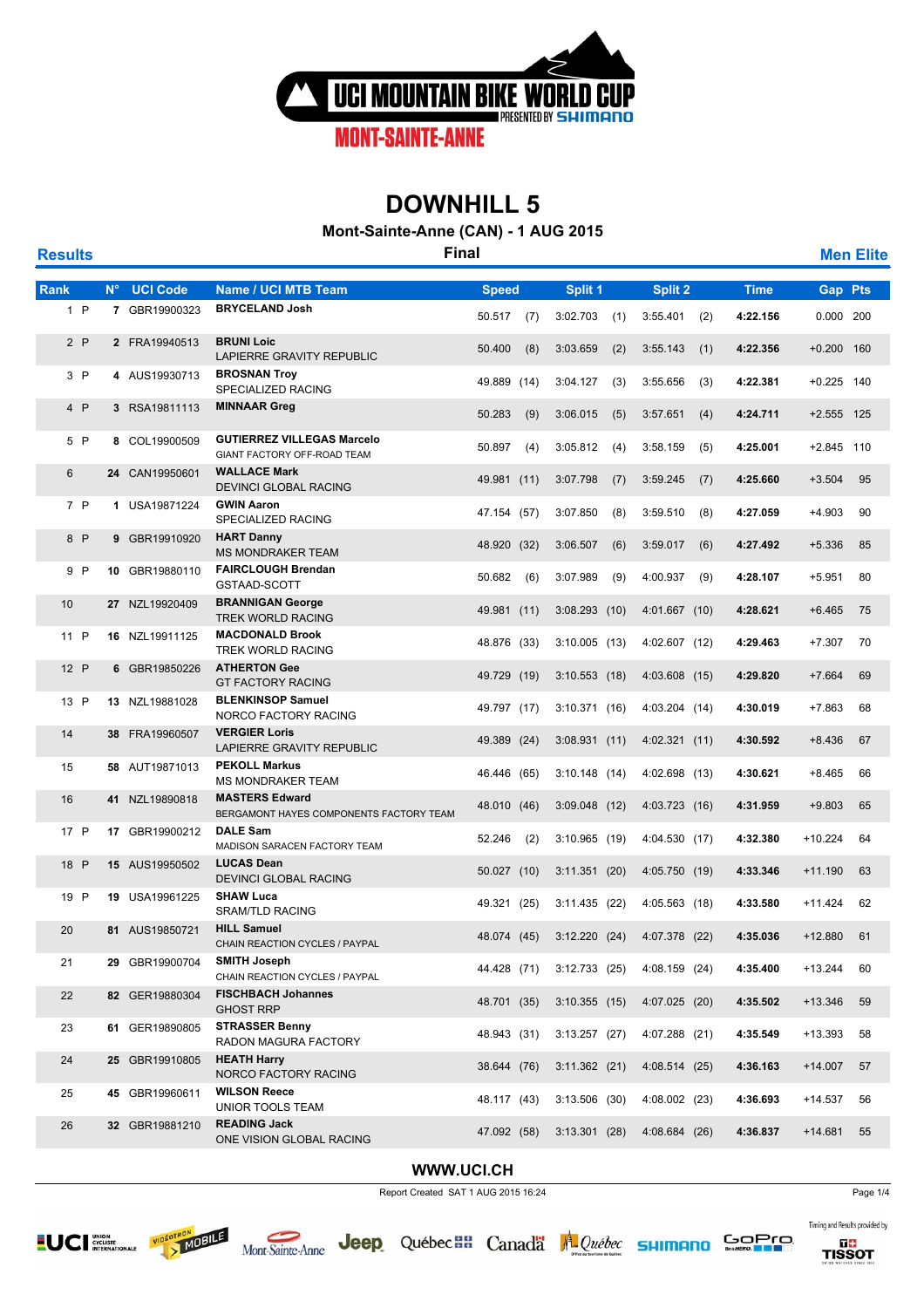

**Mont-Sainte-Anne (CAN) - 1 AUG 2015**

**Results Final Men Elite Rank N° UCI Code Name / UCI MTB Team Speed Split 1 Split 2 Time Gap Pts** <sup>1</sup> **<sup>7</sup>** GBR19900323 **4:22.156 BRYCELAND Josh** 0.000 <sup>200</sup> <sup>P</sup> 50.517 (7) 3:02.703 (1) 3:55.401 (2) <sup>2</sup> **<sup>2</sup>** FRA19940513 **4:22.356 BRUNI Loic** 2 P 2 FRA19940513 BRUNI Loic<br>LAPIERRE GRAVITY REPUBLIC 50.400 (8) 3:03.659 (2) 3:55.143 (1) 4:22.356 +0.200 160 3:55.143 <sup>3</sup> **<sup>4</sup>** AUS19930713 **4:22.381 BROSNAN Troy** P 4 AUS19930713 BROSNAN Troy<br>SPECIALIZED RACING 49.889 (14) 3:04.127 (3) 3:55.656 (3) **4:22.381** +0.225 140 49.889 (14) 3:04.127 (3) 3:55.656 (3) <sup>4</sup> **<sup>3</sup>** RSA19811113 **4:24.711 MINNAAR Greg** +2.555 <sup>125</sup> <sup>P</sup> 50.283 (9) 3:06.015 (5) 3:57.651 (4) <sup>5</sup> **<sup>8</sup>** COL19900509 **4:25.001 GUTIERREZ VILLEGAS Marcelo** +2.845 <sup>110</sup> <sup>P</sup> GIANT FACTORY OFF-ROAD TEAM 50.897 (4) 3:05.812 (4) 3:58.159 (5) <sup>6</sup> **<sup>24</sup>** CAN19950601 **4:25.660 WALLACE Mark WALLACE Mark**<br>DEVINCI GLOBAL RACING 49.981 (11) 3:07.798 (7) 3:59.245 (7) 4:**25.660** +3.504 95 <sup>7</sup> **<sup>1</sup>** USA19871224 **4:27.059 GWIN Aaron** P 1 USA19871224 **GWIN Aaron**<br>SPECIALIZED RACING 47.154 (57) 3:07.850 (8) 3:59.510 (8) **4:27.059** +4.903 90 47.154 (57) 3:07.850 (8) 3:59.510 (8) <sup>8</sup> **<sup>9</sup>** GBR19910920 **4:27.492 HART Danny** MS MONDRAKER TEAM +5.336 <sup>85</sup> <sup>P</sup> 48.920 (32) 3:06.507 (6) 3:59.017 (6) <sup>9</sup> **<sup>10</sup>** GBR19880110 **4:28.107 FAIRCLOUGH Brendan** P 10 GBR19880110 FAIRCLOUGH Brendan 50.682 (6) 3:07.989 (9) 4:00.937 (9) 4:**28.107** +5.951 80<br>GSTAAD-SCOTT  $50.682$  (6) <sup>10</sup> **<sup>27</sup>** NZL19920409 **4:28.621 BRANNIGAN George BRANNIGAN George** 49.981 (11) 3:08.293 (10) 4:01.667 (10) 4:**28.621** +6.465 75<br>TREK WORLD RACING <sup>11</sup> **<sup>16</sup>** NZL19911125 **4:29.463 MACDONALD Brook** TREK WORLD RACING +7.307 <sup>70</sup> <sup>P</sup> 48.876 (33) 3:10.005 (13) 4:02.607 (12) <sup>12</sup> **<sup>6</sup>** GBR19850226 **4:29.820 ATHERTON Gee** P 6 GBR19850226 ATHERTON Gee 49.729(19) 3:10.553(18) 4:03.608(15) 4:**29.820** +7.664 69<br> GT FACTORY RACING 49.729 (19) 3:10.553 (18) 4:03.608 (15) <sup>13</sup> **<sup>13</sup>** NZL19881028 **4:30.019 BLENKINSOP Samuel** P 13 NZL19881028 BLENKINSOP Samuel 49.797 (17) 3:10.371 (16) 4:03.204 (14) 4:**30.019** +7.863 68 PORCO FACTORY RACING 49.797 (17) 3:10.371 (16) 4:03.204 (14) <sup>14</sup> **<sup>38</sup>** FRA19960507 **4:30.592 VERGIER Loris** LAPIERRE GRAVITY REPUBLIC 49.389 (24) 3:08.931 (11) 4:02.321 (11) +8.436 <sup>67</sup> <sup>15</sup> **<sup>58</sup>** AUT19871013 **4:30.621 PEKOLL Markus** MS MONDRAKER TEAM 46.446 (65) 3:10.148 (14) 4:02.698 (13) +8.465 <sup>66</sup> <sup>16</sup> **<sup>41</sup>** NZL19890818 **4:31.959 MASTERS Edward** BERGAMONT HAYES COMPONENTS FACTORY TEAM 48.010 (46) 3:09.048 (12) 4:03.723 (16) 4:31.959 +9.803 65 <sup>17</sup> **<sup>17</sup>** GBR19900212 **4:32.380 DALE Sam** MADISON SARACEN FACTORY TEAM 4:3**2.380** +10.224 64 P 1**7** GBR19900212 **DALE Sam**<br>52.246 (2) 3:10.965 (19) 4:04.530 (17) **4:32.380** +10.224 64 52.246 (2) 3:10.965 (19) 4:04.530 (17) <sup>18</sup> **<sup>15</sup>** AUS19950502 **4:33.346 LUCAS Dean** DEVINCI GLOBAL RACING +11.190 <sup>63</sup> <sup>P</sup> 50.027 (10) 3:11.351 (20) 4:05.750 (19) <sup>19</sup> **<sup>19</sup>** USA19961225 **4:33.580 SHAW Luca** 9 19 USA19961225 **SHAW Luca**<br>SRAM/TLD RACING +11.424 49.321 (25) 3:11.435 (22) 4:05.563 (18) **4:33.580** +11.424 62 49.321 (25) 3:11.435 (22) 4:05.563 (18) <sup>20</sup> **<sup>81</sup>** AUS19850721 **4:35.036 HILL Samuel** CHAIN REACTION CYCLES / PAYPAL 48.074 (45) 3:12.220 (24) 4:07.378 (22) 4:35.036 +12.880 61 <sup>21</sup> **<sup>29</sup>** GBR19900704 **4:35.400 SMITH Joseph** CHAIN REACTION CYCLES / PAYPAL 44.428 (71) 3:12.733 (25) 4:08.159 (24) 4:35.400 +13.244 60 <sup>22</sup> **<sup>82</sup>** GER19880304 **4:35.502 FISCHBACH Johannes** GHOST RRP 48.701 (35) 3:10.355 (15) 4:07.025 (20) +13.346 <sup>59</sup> <sup>23</sup> **<sup>61</sup>** GER19890805 **4:35.549 STRASSER Benny** STRASSER Benny<br>RADON MAGURA FACTORY 48.943 (31) 3:13.257 (27) 4:07.288 (21) 4:35.549 +13.393 58 <sup>24</sup> **<sup>25</sup>** GBR19910805 **4:36.163 HEATH Harry** NORCO FACTORY RACING 38.644 (76) 3:11.362 (21) 4:08.514 (25) +14.007 <sup>57</sup> <sup>25</sup> **<sup>45</sup>** GBR19960611 **4:36.693 WILSON Reece** UNIOR TOOLS TEAM 48.117 (43) 3:13.506 (30) 4:08.002 (23) +14.537 <sup>56</sup> <sup>26</sup> **<sup>32</sup>** GBR19881210 **4:36.837 READING Jack** READING Jack<br>ONE VISION GLOBAL RACING 47.092 (58) 3:13.301 (28) 4:08.684 (26) 4:36.837 +14.681 55

#### **WWW.UCI.CH**

**Jeep** 

Report Created SAT 1 AUG 2015 16:24 Page 1/4





Québec **BB** Canada A Québec **SHIMANO** 



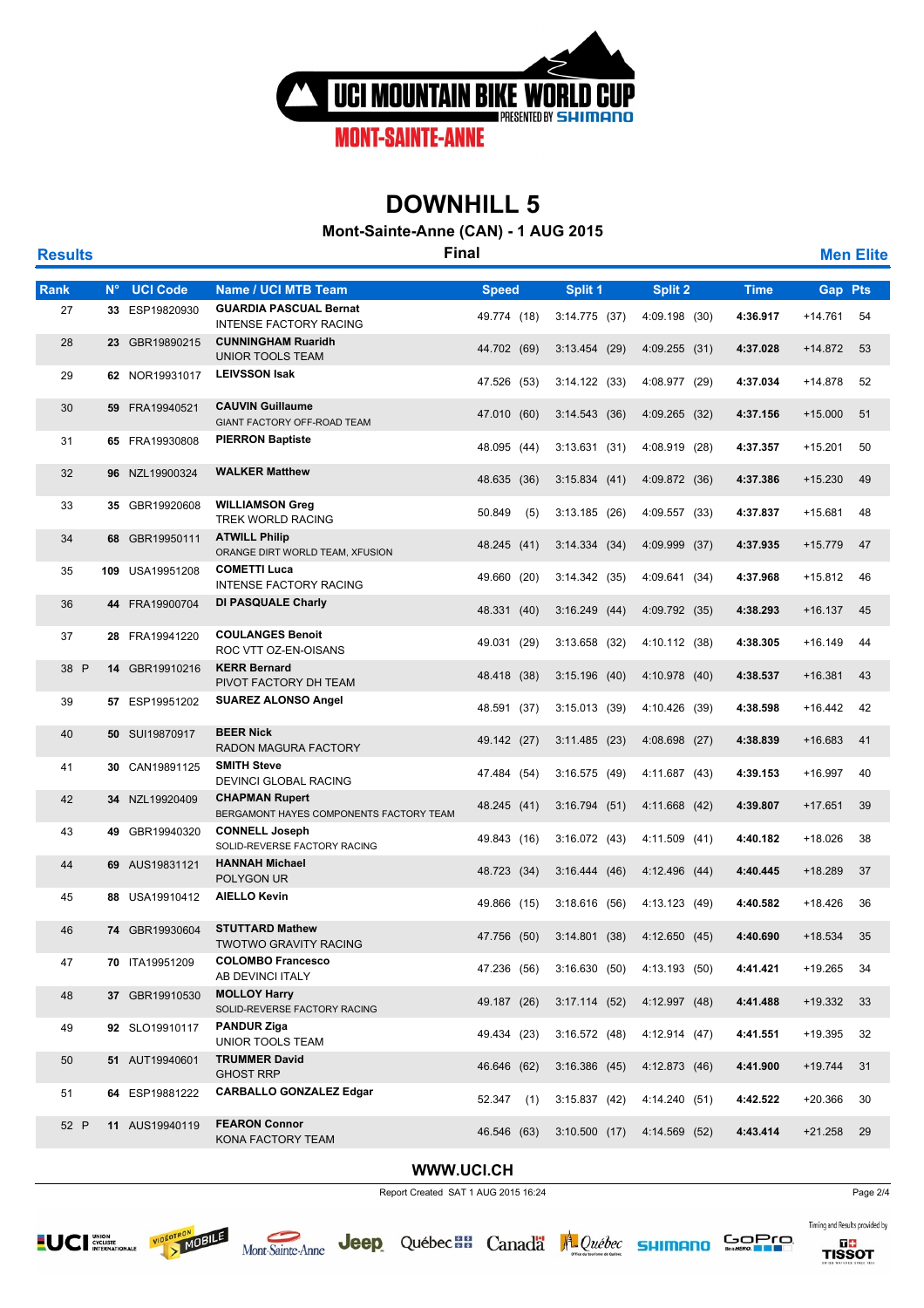

**Mont-Sainte-Anne (CAN) - 1 AUG 2015**

| <b>Results</b> |             |                 | <b>Final</b>                                                     |              |     |                 |                 |             |                | <b>Men Elite</b> |
|----------------|-------------|-----------------|------------------------------------------------------------------|--------------|-----|-----------------|-----------------|-------------|----------------|------------------|
| <b>Rank</b>    | $N^{\circ}$ | <b>UCI Code</b> | <b>Name / UCI MTB Team</b>                                       | <b>Speed</b> |     | Split 1         | Split 2         | <b>Time</b> | <b>Gap Pts</b> |                  |
| 27             |             | 33 ESP19820930  | <b>GUARDIA PASCUAL Bernat</b><br><b>INTENSE FACTORY RACING</b>   | 49.774 (18)  |     | 3:14.775(37)    | 4:09.198 (30)   | 4:36.917    | +14.761        | 54               |
| 28             |             | 23 GBR19890215  | <b>CUNNINGHAM Ruaridh</b><br><b>UNIOR TOOLS TEAM</b>             | 44.702 (69)  |     | 3:13.454(29)    | $4:09.255$ (31) | 4:37.028    | $+14.872$      | 53               |
| 29             |             | 62 NOR19931017  | <b>LEIVSSON Isak</b>                                             | 47.526 (53)  |     | 3:14.122(33)    | 4:08.977 (29)   | 4:37.034    | +14.878        | 52               |
| 30             |             | 59 FRA19940521  | <b>CAUVIN Guillaume</b><br>GIANT FACTORY OFF-ROAD TEAM           | 47.010 (60)  |     | 3:14.543(36)    | 4:09.265 (32)   | 4:37.156    | $+15.000$      | 51               |
| 31             |             | 65 FRA19930808  | <b>PIERRON Baptiste</b>                                          | 48.095 (44)  |     | 3:13.631(31)    | 4:08.919 (28)   | 4:37.357    | $+15.201$      | 50               |
| 32             |             | 96 NZL19900324  | <b>WALKER Matthew</b>                                            | 48.635 (36)  |     | 3:15.834(41)    | 4:09.872 (36)   | 4:37.386    | $+15.230$      | 49               |
| 33             |             | 35 GBR19920608  | <b>WILLIAMSON Greg</b><br>TREK WORLD RACING                      | 50.849       | (5) | 3:13.185(26)    | 4:09.557 (33)   | 4:37.837    | +15.681        | 48               |
| 34             |             | 68 GBR19950111  | <b>ATWILL Philip</b><br>ORANGE DIRT WORLD TEAM, XFUSION          | 48.245 (41)  |     | 3:14.334(34)    | 4:09.999 (37)   | 4:37.935    | $+15.779$      | 47               |
| 35             |             | 109 USA19951208 | <b>COMETTI Luca</b><br><b>INTENSE FACTORY RACING</b>             | 49.660 (20)  |     | 3:14.342(35)    | 4:09.641 (34)   | 4:37.968    | +15.812        | 46               |
| 36             |             | 44 FRA19900704  | DI PASQUALE Charly                                               | 48.331 (40)  |     | 3:16.249(44)    | 4:09.792 (35)   | 4:38.293    | $+16.137$      | 45               |
| 37             |             | 28 FRA19941220  | <b>COULANGES Benoit</b><br>ROC VTT OZ-EN-OISANS                  | 49.031 (29)  |     | $3:13.658$ (32) | 4:10.112 (38)   | 4:38.305    | $+16.149$      | 44               |
| 38 P           |             | 14 GBR19910216  | <b>KERR Bernard</b><br>PIVOT FACTORY DH TEAM                     | 48.418 (38)  |     | $3:15.196$ (40) | 4:10.978 (40)   | 4:38.537    | $+16.381$      | 43               |
| 39             |             | 57 ESP19951202  | <b>SUAREZ ALONSO Angel</b>                                       | 48.591 (37)  |     | 3:15.013(39)    | 4:10.426 (39)   | 4:38.598    | $+16.442$      | 42               |
| 40             |             | 50 SUI19870917  | <b>BEER Nick</b><br>RADON MAGURA FACTORY                         | 49.142 (27)  |     | 3:11.485(23)    | 4:08.698 (27)   | 4:38.839    | +16.683        | 41               |
| 41             |             | 30 CAN19891125  | <b>SMITH Steve</b><br>DEVINCI GLOBAL RACING                      | 47.484 (54)  |     | 3:16.575(49)    | 4:11.687 (43)   | 4:39.153    | +16.997        | 40               |
| 42             |             | 34 NZL19920409  | <b>CHAPMAN Rupert</b><br>BERGAMONT HAYES COMPONENTS FACTORY TEAM | 48.245 (41)  |     | 3:16.794(51)    | 4:11.668 (42)   | 4:39.807    | $+17.651$      | 39               |
| 43             |             | 49 GBR19940320  | <b>CONNELL Joseph</b><br>SOLID-REVERSE FACTORY RACING            | 49.843 (16)  |     | 3:16.072(43)    | 4:11.509 (41)   | 4:40.182    | +18.026        | 38               |
| 44             |             | 69 AUS19831121  | <b>HANNAH Michael</b><br>POLYGON UR                              | 48.723 (34)  |     | 3:16.444(46)    | 4:12.496 (44)   | 4:40.445    | $+18.289$      | 37               |
| 45             |             | 88 USA19910412  | <b>AIELLO Kevin</b>                                              | 49.866 (15)  |     | 3:18.616(56)    | 4:13.123 (49)   | 4:40.582    | $+18.426$      | 36               |
| 46             |             | 74 GBR19930604  | <b>STUTTARD Mathew</b><br><b>TWOTWO GRAVITY RACING</b>           | 47.756 (50)  |     | 3:14.801(38)    | 4:12.650(45)    | 4:40.690    | $+18.534$      | 35               |
| 47             |             | 70 ITA19951209  | <b>COLOMBO Francesco</b><br>AB DEVINCI ITALY                     | 47.236 (56)  |     | 3:16.630(50)    | 4:13.193 (50)   | 4:41.421    | $+19.265$      | 34               |
| 48             |             | 37 GBR19910530  | <b>MOLLOY Harry</b><br>SOLID-REVERSE FACTORY RACING              | 49.187 (26)  |     | 3:17.114(52)    | 4:12.997 (48)   | 4:41.488    | $+19.332$      | 33               |
| 49             |             | 92 SLO19910117  | <b>PANDUR Ziga</b><br>UNIOR TOOLS TEAM                           | 49.434 (23)  |     | 3:16.572(48)    | 4:12.914 (47)   | 4:41.551    | +19.395        | 32               |
| 50             |             | 51 AUT19940601  | <b>TRUMMER David</b><br><b>GHOST RRP</b>                         | 46.646 (62)  |     | $3:16.386$ (45) | 4:12.873 (46)   | 4:41.900    | $+19.744$      | 31               |
| 51             |             | 64 ESP19881222  | <b>CARBALLO GONZALEZ Edgar</b>                                   | 52.347       | (1) | 3:15.837(42)    | 4:14.240 (51)   | 4:42.522    | +20.366        | 30               |
| 52 P           |             | 11 AUS19940119  | <b>FEARON Connor</b><br>KONA FACTORY TEAM                        | 46.546 (63)  |     | 3:10.500(17)    | 4:14.569 (52)   | 4:43.414    | $+21.258$      | 29               |

### **WWW.UCI.CH**

Report Created SAT 1 AUG 2015 16:24





Jeep Québec an Canada Al Québec sumano



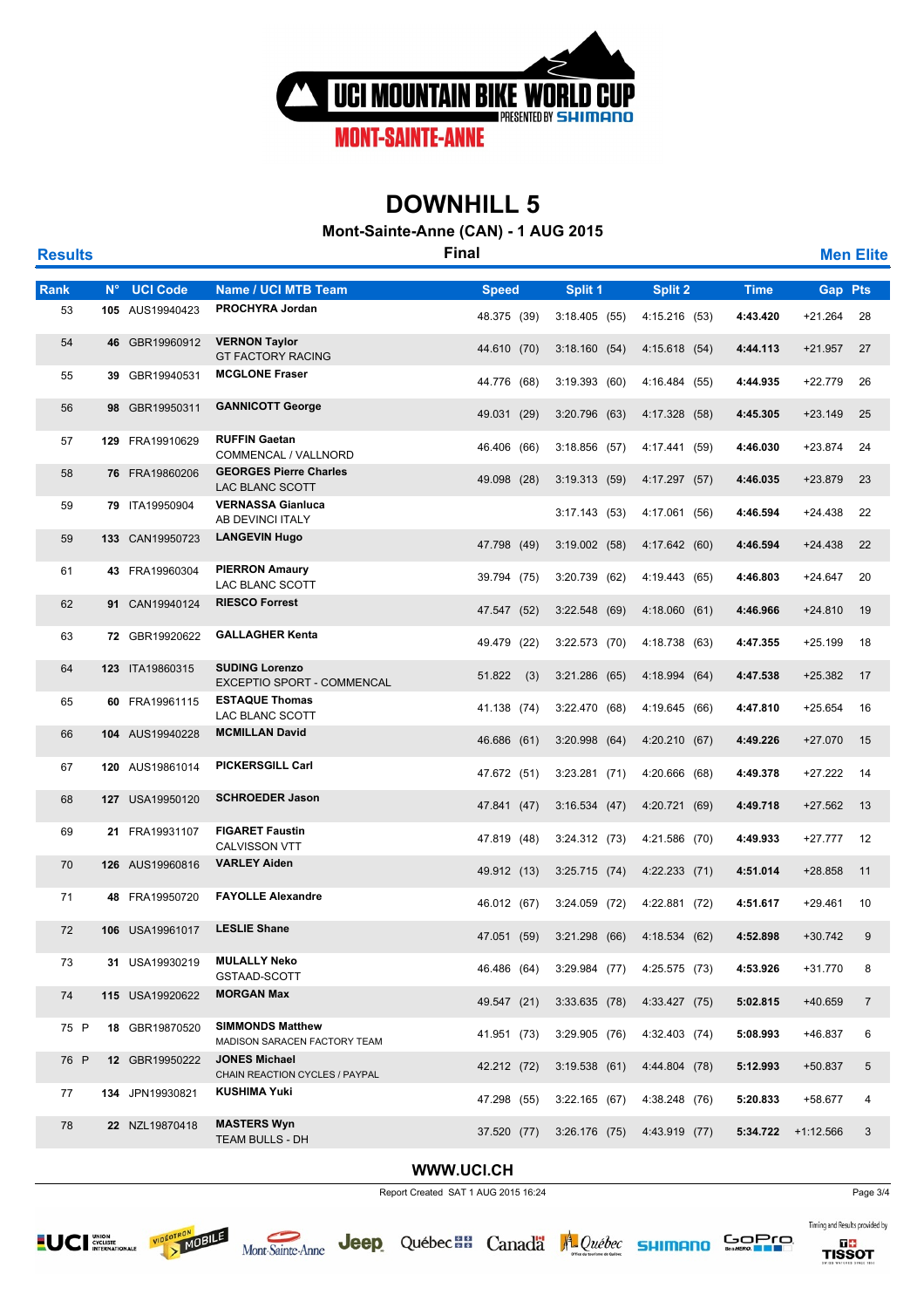

**Mont-Sainte-Anne (CAN) - 1 AUG 2015**

| <b>Results</b> |             |                 |                                                         | <b>Final</b>  |                 |                 |             |                | <b>Men Elite</b> |
|----------------|-------------|-----------------|---------------------------------------------------------|---------------|-----------------|-----------------|-------------|----------------|------------------|
| Rank           | $N^{\circ}$ | <b>UCI Code</b> | Name / UCI MTB Team                                     | <b>Speed</b>  | Split 1         | Split 2         | <b>Time</b> | <b>Gap Pts</b> |                  |
| 53             |             | 105 AUS19940423 | PROCHYRA Jordan                                         | 48.375 (39)   | 3:18.405(55)    | 4:15.216 (53)   | 4:43.420    | $+21.264$      | 28               |
| 54             |             | 46 GBR19960912  | <b>VERNON Taylor</b><br><b>GT FACTORY RACING</b>        | 44.610 (70)   | 3:18.160(54)    | 4:15.618(54)    | 4:44.113    | $+21.957$      | 27               |
| 55             |             | 39 GBR19940531  | <b>MCGLONE Fraser</b>                                   | 44.776 (68)   | 3:19.393(60)    | 4:16.484 (55)   | 4:44.935    | +22.779        | 26               |
| 56             |             | 98 GBR19950311  | <b>GANNICOTT George</b>                                 | 49.031 (29)   | 3:20.796(63)    | 4:17.328 (58)   | 4:45.305    | $+23.149$      | 25               |
| 57             |             | 129 FRA19910629 | <b>RUFFIN Gaetan</b><br>COMMENCAL / VALLNORD            | 46.406 (66)   | $3:18.856$ (57) | 4:17.441 (59)   | 4:46.030    | +23.874        | 24               |
| 58             |             | 76 FRA19860206  | <b>GEORGES Pierre Charles</b><br>LAC BLANC SCOTT        | 49.098 (28)   | 3:19.313(59)    | 4:17.297 (57)   | 4:46.035    | +23.879        | 23               |
| 59             |             | 79 ITA19950904  | <b>VERNASSA Gianluca</b><br>AB DEVINCI ITALY            |               | 3:17.143(53)    | 4:17.061 (56)   | 4:46.594    | $+24.438$      | 22               |
| 59             |             | 133 CAN19950723 | <b>LANGEVIN Hugo</b>                                    | 47.798 (49)   | 3:19.002(58)    | 4:17.642 (60)   | 4:46.594    | $+24.438$      | 22               |
| 61             |             | 43 FRA19960304  | <b>PIERRON Amaury</b><br>LAC BLANC SCOTT                | 39.794 (75)   | 3:20.739 (62)   | 4:19.443 (65)   | 4:46.803    | $+24.647$      | 20               |
| 62             |             | 91 CAN19940124  | <b>RIESCO Forrest</b>                                   | 47.547 (52)   | 3:22.548(69)    | 4:18.060 (61)   | 4:46.966    | $+24.810$      | 19               |
| 63             |             | 72 GBR19920622  | <b>GALLAGHER Kenta</b>                                  | 49.479 (22)   | $3:22.573$ (70) | 4:18.738 (63)   | 4:47.355    | $+25.199$      | 18               |
| 64             |             | 123 ITA19860315 | <b>SUDING Lorenzo</b><br>EXCEPTIO SPORT - COMMENCAL     | 51.822<br>(3) | $3:21.286$ (65) | 4:18.994 (64)   | 4:47.538    | +25.382        | 17               |
| 65             |             | 60 FRA19961115  | <b>ESTAQUE Thomas</b><br>LAC BLANC SCOTT                | 41.138 (74)   | 3:22.470(68)    | 4:19.645 (66)   | 4:47.810    | +25.654        | 16               |
| 66             |             | 104 AUS19940228 | <b>MCMILLAN David</b>                                   | 46.686 (61)   | $3:20.998$ (64) | 4:20.210 (67)   | 4:49.226    | $+27.070$      | 15               |
| 67             |             | 120 AUS19861014 | <b>PICKERSGILL Carl</b>                                 | 47.672 (51)   | $3:23.281$ (71) | 4:20.666 (68)   | 4:49.378    | $+27.222$      | 14               |
| 68             |             | 127 USA19950120 | <b>SCHROEDER Jason</b>                                  | 47.841 (47)   | 3:16.534(47)    | 4:20.721 (69)   | 4:49.718    | $+27.562$      | 13               |
| 69             |             | 21 FRA19931107  | <b>FIGARET Faustin</b><br>CALVISSON VTT                 | 47.819 (48)   | 3:24.312 (73)   | 4:21.586 (70)   | 4:49.933    | +27.777        | 12               |
| 70             |             | 126 AUS19960816 | <b>VARLEY Aiden</b>                                     | 49.912 (13)   | $3:25.715$ (74) | $4:22.233$ (71) | 4:51.014    | +28.858        | 11               |
| 71             |             | 48 FRA19950720  | <b>FAYOLLE Alexandre</b>                                | 46.012 (67)   | $3:24.059$ (72) | 4:22.881 (72)   | 4:51.617    | +29.461        | 10               |
| 72             |             | 106 USA19961017 | <b>LESLIE Shane</b>                                     | 47.051 (59)   | 3:21.298(66)    | 4:18.534 (62)   | 4:52.898    | $+30.742$      | 9                |
| 73             |             | 31 USA19930219  | <b>MULALLY Neko</b><br>GSTAAD-SCOTT                     | 46.486 (64)   | $3:29.984$ (77) | 4:25.575 (73)   | 4:53.926    | +31.770        | 8                |
| 74             |             | 115 USA19920622 | <b>MORGAN Max</b>                                       | 49.547 (21)   | $3:33.635$ (78) | 4:33.427 (75)   | 5:02.815    | +40.659        | $\overline{7}$   |
| 75 P           |             | 18 GBR19870520  | <b>SIMMONDS Matthew</b><br>MADISON SARACEN FACTORY TEAM | 41.951 (73)   | $3:29.905$ (76) | 4:32.403 (74)   | 5:08.993    | +46.837        | 6                |
| 76 P           |             | 12 GBR19950222  | <b>JONES Michael</b><br>CHAIN REACTION CYCLES / PAYPAL  | 42.212 (72)   | 3:19.538(61)    | 4:44.804 (78)   | 5:12.993    | $+50.837$      | 5                |
| 77             |             | 134 JPN19930821 | <b>KUSHIMA Yuki</b>                                     | 47.298 (55)   | 3:22.165(67)    | 4:38.248 (76)   | 5:20.833    | +58.677        | 4                |
| 78             |             | 22 NZL19870418  | <b>MASTERS Wyn</b><br>TEAM BULLS - DH                   | 37.520 (77)   | $3:26.176$ (75) | 4:43.919 (77)   | 5:34.722    | $+1:12.566$    | 3                |

### **WWW.UCI.CH**

Report Created SAT 1 AUG 2015 16:24





Jeep Québec a Canada A Québec sumano



Timing and Results provided by

 $GOPO$